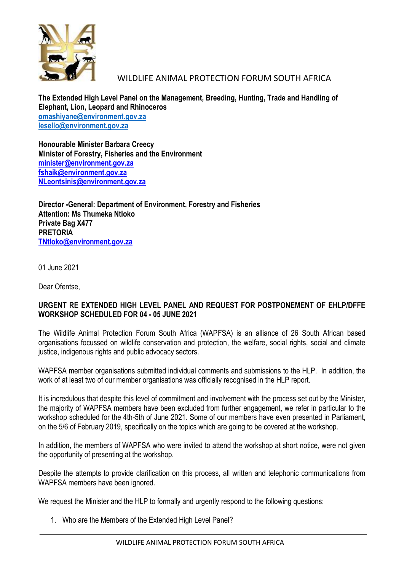

## WILDLIFE ANIMAL PROTECTION FORUM SOUTH AFRICA

**The Extended High Level Panel on the Management, Breeding, Hunting, Trade and Handling of Elephant, Lion, Leopard and Rhinoceros [omashiyane@environment.gov.za](mailto:omashiyane@environment.gov.za) [lesello@environment.gov.za](mailto:lesello@environment.gov.za)**

**Honourable Minister Barbara Creecy Minister of Forestry, Fisheries and the Environment [minister@environment.gov.za](mailto:minister@environment.gov.za) [fshaik@environment.gov.za](mailto:fshaik@environment.gov.za) [NLeontsinis@environment.gov.za](mailto:NLeontsinis@environment.gov.za)**

**Director -General: Department of Environment, Forestry and Fisheries Attention: Ms Thumeka Ntloko Private Bag X477 PRETORIA [TNtloko@environment.gov.za](mailto:TNtloko@environment.gov.za)**

01 June 2021

Dear Ofentse,

## **URGENT RE EXTENDED HIGH LEVEL PANEL AND REQUEST FOR POSTPONEMENT OF EHLP/DFFE WORKSHOP SCHEDULED FOR 04 - 05 JUNE 2021**

The Wildlife Animal Protection Forum South Africa (WAPFSA) is an alliance of 26 South African based organisations focussed on wildlife conservation and protection, the welfare, social rights, social and climate justice, indigenous rights and public advocacy sectors.

WAPFSA member organisations submitted individual comments and submissions to the HLP. In addition, the work of at least two of our member organisations was officially recognised in the HLP report.

It is incredulous that despite this level of commitment and involvement with the process set out by the Minister, the majority of WAPFSA members have been excluded from further engagement, we refer in particular to the workshop scheduled for the 4th-5th of June 2021. Some of our members have even presented in Parliament, on the 5/6 of February 2019, specifically on the topics which are going to be covered at the workshop.

In addition, the members of WAPFSA who were invited to attend the workshop at short notice, were not given the opportunity of presenting at the workshop.

Despite the attempts to provide clarification on this process, all written and telephonic communications from WAPFSA members have been ignored.

We request the Minister and the HLP to formally and urgently respond to the following questions:

1. Who are the Members of the Extended High Level Panel?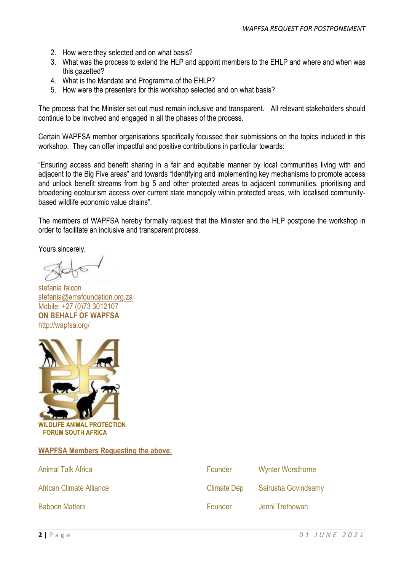- 2. How were they selected and on what basis?
- 3. What was the process to extend the HLP and appoint members to the EHLP and where and when was this gazetted?
- 4. What is the Mandate and Programme of the EHLP?
- 5. How were the presenters for this workshop selected and on what basis?

The process that the Minister set out must remain inclusive and transparent. All relevant stakeholders should continue to be involved and engaged in all the phases of the process.

Certain WAPFSA member organisations specifically focussed their submissions on the topics included in this workshop. They can offer impactful and positive contributions in particular towards:

"Ensuring access and benefit sharing in a fair and equitable manner by local communities living with and adjacent to the Big Five areas" and towards "Identifying and implementing key mechanisms to promote access and unlock benefit streams from big 5 and other protected areas to adjacent communities, prioritising and broadening ecotourism access over current state monopoly within protected areas, with localised communitybased wildlife economic value chains".

The members of WAPFSA hereby formally request that the Minister and the HLP postpone the workshop in order to facilitate an inclusive and transparent process.

Yours sincerely,

stefania falcon [stefania@emsfoundation.org.za](mailto:stefania@emsfoundation.org.za) Mobile: +27 (0)73 3012107 **ON BEHALF OF WAPFSA**  <http://wapfsa.org/>



 **FORUM SOUTH AFRICA** 

## **WAPFSA Members Requesting the above:**

| <b>Animal Talk Africa</b> | Founder            | <b>Wynter Worsthorne</b> |
|---------------------------|--------------------|--------------------------|
| African Climate Alliance  | <b>Climate Dep</b> | Sairusha Govindsamy      |
| <b>Baboon Matters</b>     | Founder            | Jenni Trethowan          |